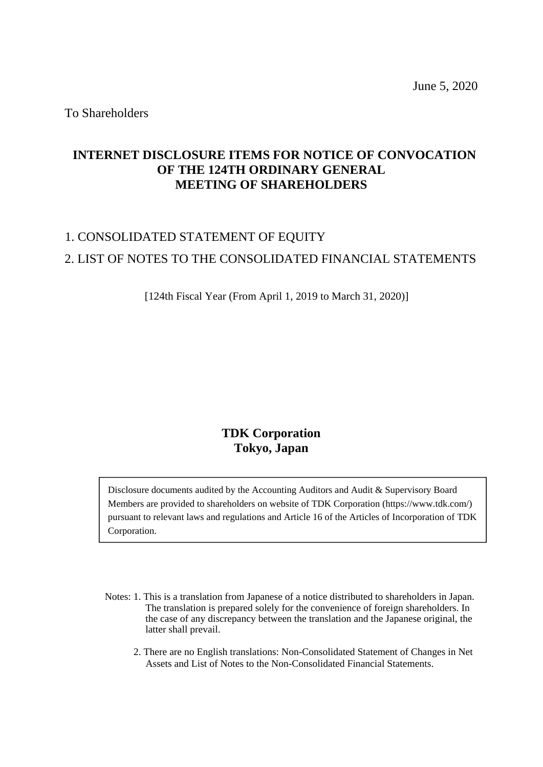To Shareholders

# **INTERNET DISCLOSURE ITEMS FOR NOTICE OF CONVOCATION OF THE 124TH ORDINARY GENERAL MEETING OF SHAREHOLDERS**

# 1. CONSOLIDATED STATEMENT OF EQUITY 2. LIST OF NOTES TO THE CONSOLIDATED FINANCIAL STATEMENTS

[124th Fiscal Year (From April 1, 2019 to March 31, 2020)]

# **TDK Corporation Tokyo, Japan**

Disclosure documents audited by the Accounting Auditors and Audit & Supervisory Board Members are provided to shareholders on website of TDK Corporation (https://www.tdk.com/) pursuant to relevant laws and regulations and Article 16 of the Articles of Incorporation of TDK Corporation.

- Notes: 1. This is a translation from Japanese of a notice distributed to shareholders in Japan. The translation is prepared solely for the convenience of foreign shareholders. In the case of any discrepancy between the translation and the Japanese original, the latter shall prevail.
	- 2. There are no English translations: Non-Consolidated Statement of Changes in Net Assets and List of Notes to the Non-Consolidated Financial Statements.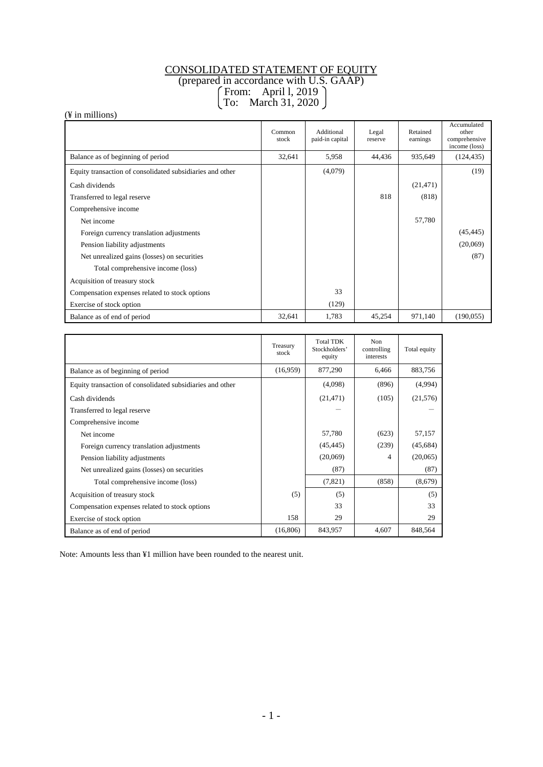# CONSOLIDATED STATEMENT OF EQUITY

(prepared in accordance with U.S. GAAP)

From: April l, 2019

# To: March 31, 2020

(¥ in millions)

|                                                           | Common<br>stock | Additional<br>paid-in capital | Legal<br>reserve | Retained<br>earnings | Accumulated<br>other<br>comprehensive<br>income (loss) |
|-----------------------------------------------------------|-----------------|-------------------------------|------------------|----------------------|--------------------------------------------------------|
| Balance as of beginning of period                         | 32,641          | 5,958                         | 44,436           | 935,649              | (124, 435)                                             |
| Equity transaction of consolidated subsidiaries and other |                 | (4,079)                       |                  |                      | (19)                                                   |
| Cash dividends                                            |                 |                               |                  | (21, 471)            |                                                        |
| Transferred to legal reserve                              |                 |                               | 818              | (818)                |                                                        |
| Comprehensive income                                      |                 |                               |                  |                      |                                                        |
| Net income                                                |                 |                               |                  | 57,780               |                                                        |
| Foreign currency translation adjustments                  |                 |                               |                  |                      | (45, 445)                                              |
| Pension liability adjustments                             |                 |                               |                  |                      | (20,069)                                               |
| Net unrealized gains (losses) on securities               |                 |                               |                  |                      | (87)                                                   |
| Total comprehensive income (loss)                         |                 |                               |                  |                      |                                                        |
| Acquisition of treasury stock                             |                 |                               |                  |                      |                                                        |
| Compensation expenses related to stock options            |                 | 33                            |                  |                      |                                                        |
| Exercise of stock option                                  |                 | (129)                         |                  |                      |                                                        |
| Balance as of end of period                               | 32,641          | 1,783                         | 45,254           | 971,140              | (190, 055)                                             |

|                                                           | Treasury<br>stock | <b>Total TDK</b><br>Stockholders'<br>equity | Non<br>controlling<br>interests | Total equity |
|-----------------------------------------------------------|-------------------|---------------------------------------------|---------------------------------|--------------|
| Balance as of beginning of period                         | (16,959)          | 877,290                                     | 6,466                           | 883,756      |
| Equity transaction of consolidated subsidiaries and other |                   | (4,098)                                     | (896)                           | (4,994)      |
| Cash dividends                                            |                   | (21, 471)                                   | (105)                           | (21, 576)    |
| Transferred to legal reserve                              |                   |                                             |                                 |              |
| Comprehensive income                                      |                   |                                             |                                 |              |
| Net income                                                |                   | 57,780                                      | (623)                           | 57,157       |
| Foreign currency translation adjustments                  |                   | (45, 445)                                   | (239)                           | (45, 684)    |
| Pension liability adjustments                             |                   | (20,069)                                    | 4                               | (20,065)     |
| Net unrealized gains (losses) on securities               |                   | (87)                                        |                                 | (87)         |
| Total comprehensive income (loss)                         |                   | (7,821)                                     | (858)                           | (8,679)      |
| Acquisition of treasury stock                             | (5)               | (5)                                         |                                 | (5)          |
| Compensation expenses related to stock options            |                   | 33                                          |                                 | 33           |
| Exercise of stock option                                  | 158               | 29                                          |                                 | 29           |
| Balance as of end of period                               | (16,806)          | 843,957                                     | 4,607                           | 848,564      |

Note: Amounts less than ¥1 million have been rounded to the nearest unit.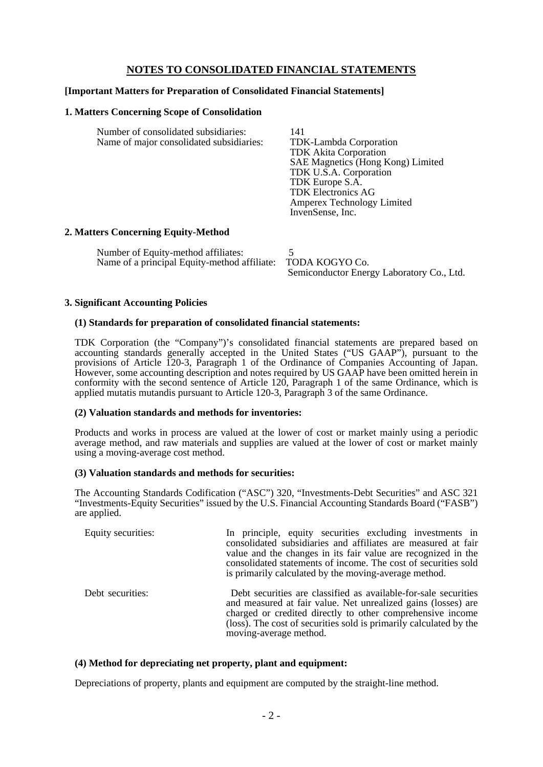# **NOTES TO CONSOLIDATED FINANCIAL STATEMENTS**

## **[Important Matters for Preparation of Consolidated Financial Statements]**

#### **1. Matters Concerning Scope of Consolidation**

| Number of consolidated subsidiaries:<br>Name of major consolidated subsidiaries: | 141<br>TDK-Lambda Corporation<br><b>TDK</b> Akita Corporation<br>SAE Magnetics (Hong Kong) Limited<br>TDK U.S.A. Corporation<br>TDK Europe S.A.<br><b>TDK Electronics AG</b><br>Amperex Technology Limited<br>InvenSense, Inc. |
|----------------------------------------------------------------------------------|--------------------------------------------------------------------------------------------------------------------------------------------------------------------------------------------------------------------------------|
|                                                                                  |                                                                                                                                                                                                                                |

#### **2. Matters Concerning Equity-Method**

Number of Equity-method affiliates: 5<br>Name of a principal Equity-method affiliate: TODA KOGYO Co. Name of a principal Equity-method affiliate: Semiconductor Energy Laboratory Co., Ltd.

#### **3. Significant Accounting Policies**

#### **(1) Standards for preparation of consolidated financial statements:**

TDK Corporation (the "Company")'s consolidated financial statements are prepared based on accounting standards generally accepted in the United States ("US GAAP"), pursuant to the provisions of Article 120-3, Paragraph 1 of the Ordinance of Companies Accounting of Japan. However, some accounting description and notes required by US GAAP have been omitted herein in conformity with the second sentence of Article 120, Paragraph 1 of the same Ordinance, which is applied mutatis mutandis pursuant to Article 120-3, Paragraph 3 of the same Ordinance.

### **(2) Valuation standards and methods for inventories:**

Products and works in process are valued at the lower of cost or market mainly using a periodic average method, and raw materials and supplies are valued at the lower of cost or market mainly using a moving-average cost method.

#### **(3) Valuation standards and methods for securities:**

The Accounting Standards Codification ("ASC") 320, "Investments-Debt Securities" and ASC 321 "Investments-Equity Securities" issued by the U.S. Financial Accounting Standards Board ("FASB") are applied.

| Equity securities: | In principle, equity securities excluding investments in<br>consolidated subsidiaries and affiliates are measured at fair<br>value and the changes in its fair value are recognized in the<br>consolidated statements of income. The cost of securities sold<br>is primarily calculated by the moving-average method. |
|--------------------|-----------------------------------------------------------------------------------------------------------------------------------------------------------------------------------------------------------------------------------------------------------------------------------------------------------------------|
| Debt securities:   | Debt securities are classified as available-for-sale securities<br>and measured at fair value. Net unrealized gains (losses) are<br>charged or credited directly to other comprehensive income<br>(loss). The cost of securities sold is primarily calculated by the<br>moving-average method.                        |

### **(4) Method for depreciating net property, plant and equipment:**

Depreciations of property, plants and equipment are computed by the straight-line method.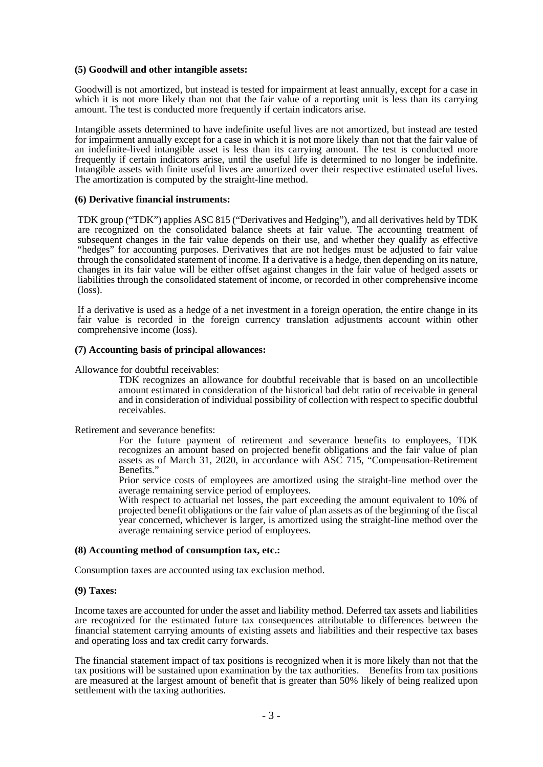#### **(5) Goodwill and other intangible assets:**

Goodwill is not amortized, but instead is tested for impairment at least annually, except for a case in which it is not more likely than not that the fair value of a reporting unit is less than its carrying amount. The test is conducted more frequently if certain indicators arise.

Intangible assets determined to have indefinite useful lives are not amortized, but instead are tested for impairment annually except for a case in which it is not more likely than not that the fair value of an indefinite-lived intangible asset is less than its carrying amount. The test is conducted more frequently if certain indicators arise, until the useful life is determined to no longer be indefinite. Intangible assets with finite useful lives are amortized over their respective estimated useful lives. The amortization is computed by the straight-line method.

#### **(6) Derivative financial instruments:**

TDK group ("TDK") applies ASC 815 ("Derivatives and Hedging"), and all derivatives held by TDK are recognized on the consolidated balance sheets at fair value. The accounting treatment of subsequent changes in the fair value depends on their use, and whether they qualify as effective "hedges" for accounting purposes. Derivatives that are not hedges must be adjusted to fair value through the consolidated statement of income. If a derivative is a hedge, then depending on its nature, changes in its fair value will be either offset against changes in the fair value of hedged assets or liabilities through the consolidated statement of income, or recorded in other comprehensive income (loss).

If a derivative is used as a hedge of a net investment in a foreign operation, the entire change in its fair value is recorded in the foreign currency translation adjustments account within other comprehensive income (loss).

#### **(7) Accounting basis of principal allowances:**

Allowance for doubtful receivables:

TDK recognizes an allowance for doubtful receivable that is based on an uncollectible amount estimated in consideration of the historical bad debt ratio of receivable in general and in consideration of individual possibility of collection with respect to specific doubtful receivables.

Retirement and severance benefits:

For the future payment of retirement and severance benefits to employees, TDK recognizes an amount based on projected benefit obligations and the fair value of plan assets as of March 31, 2020, in accordance with ASC 715, "Compensation-Retirement Benefits."

Prior service costs of employees are amortized using the straight-line method over the average remaining service period of employees.

With respect to actuarial net losses, the part exceeding the amount equivalent to 10% of projected benefit obligations or the fair value of plan assets as of the beginning of the fiscal year concerned, whichever is larger, is amortized using the straight-line method over the average remaining service period of employees.

#### **(8) Accounting method of consumption tax, etc.:**

Consumption taxes are accounted using tax exclusion method.

#### **(9) Taxes:**

Income taxes are accounted for under the asset and liability method. Deferred tax assets and liabilities are recognized for the estimated future tax consequences attributable to differences between the financial statement carrying amounts of existing assets and liabilities and their respective tax bases and operating loss and tax credit carry forwards.

The financial statement impact of tax positions is recognized when it is more likely than not that the tax positions will be sustained upon examination by the tax authorities. Benefits from tax positions are measured at the largest amount of benefit that is greater than 50% likely of being realized upon settlement with the taxing authorities.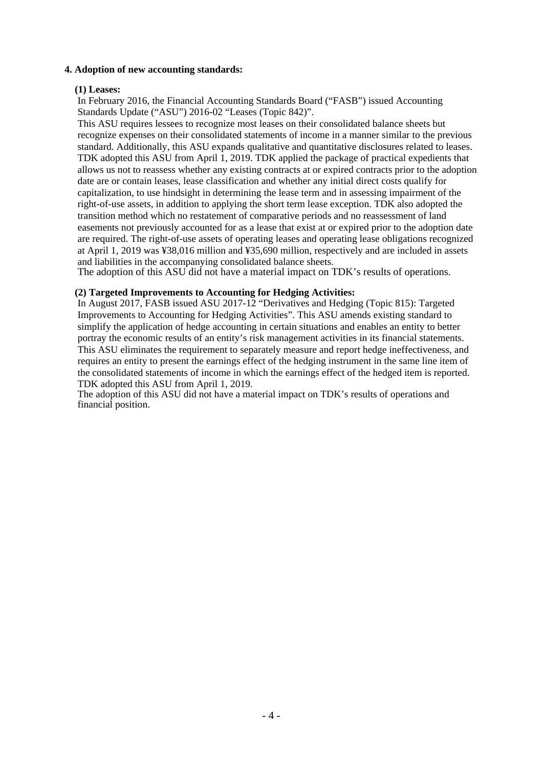# **4. Adoption of new accounting standards:**

# **(1) Leases:**

In February 2016, the Financial Accounting Standards Board ("FASB") issued Accounting Standards Update ("ASU") 2016-02 "Leases (Topic 842)".

This ASU requires lessees to recognize most leases on their consolidated balance sheets but recognize expenses on their consolidated statements of income in a manner similar to the previous standard. Additionally, this ASU expands qualitative and quantitative disclosures related to leases. TDK adopted this ASU from April 1, 2019. TDK applied the package of practical expedients that allows us not to reassess whether any existing contracts at or expired contracts prior to the adoption date are or contain leases, lease classification and whether any initial direct costs qualify for capitalization, to use hindsight in determining the lease term and in assessing impairment of the right-of-use assets, in addition to applying the short term lease exception. TDK also adopted the transition method which no restatement of comparative periods and no reassessment of land easements not previously accounted for as a lease that exist at or expired prior to the adoption date are required. The right-of-use assets of operating leases and operating lease obligations recognized at April 1, 2019 was ¥38,016 million and ¥35,690 million, respectively and are included in assets and liabilities in the accompanying consolidated balance sheets.

The adoption of this ASU did not have a material impact on TDK's results of operations.

### **(2) Targeted Improvements to Accounting for Hedging Activities:**

In August 2017, FASB issued ASU 2017-12 "Derivatives and Hedging (Topic 815): Targeted Improvements to Accounting for Hedging Activities". This ASU amends existing standard to simplify the application of hedge accounting in certain situations and enables an entity to better portray the economic results of an entity's risk management activities in its financial statements. This ASU eliminates the requirement to separately measure and report hedge ineffectiveness, and requires an entity to present the earnings effect of the hedging instrument in the same line item of the consolidated statements of income in which the earnings effect of the hedged item is reported. TDK adopted this ASU from April 1, 2019.

The adoption of this ASU did not have a material impact on TDK's results of operations and financial position.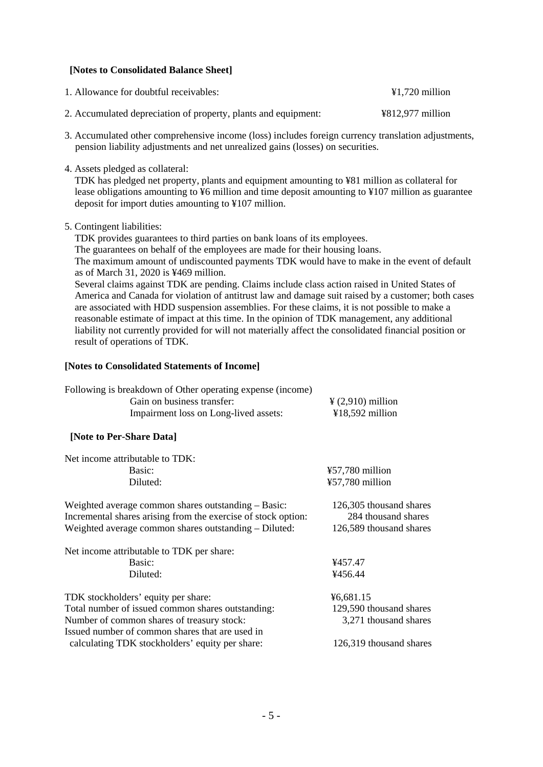# **[Notes to Consolidated Balance Sheet]**

| 1. Allowance for doubtful receivables:                         | $\text{\textsterling}1,720$ million                      |
|----------------------------------------------------------------|----------------------------------------------------------|
| 2. Accumulated depreciation of property, plants and equipment: | $\text{\textsterling}812,\text{\textsterling}77$ million |

- 3. Accumulated other comprehensive income (loss) includes foreign currency translation adjustments, pension liability adjustments and net unrealized gains (losses) on securities.
- 4. Assets pledged as collateral:

TDK has pledged net property, plants and equipment amounting to ¥81 million as collateral for lease obligations amounting to ¥6 million and time deposit amounting to ¥107 million as guarantee deposit for import duties amounting to ¥107 million.

5. Contingent liabilities:

TDK provides guarantees to third parties on bank loans of its employees. The guarantees on behalf of the employees are made for their housing loans. The maximum amount of undiscounted payments TDK would have to make in the event of default as of March 31, 2020 is ¥469 million. Several claims against TDK are pending. Claims include class action raised in United States of America and Canada for violation of antitrust law and damage suit raised by a customer; both cases are associated with HDD suspension assemblies. For these claims, it is not possible to make a reasonable estimate of impact at this time. In the opinion of TDK management, any additional liability not currently provided for will not materially affect the consolidated financial position or

result of operations of TDK.

# **[Notes to Consolidated Statements of Income]**

| Following is breakdown of Other operating expense (income) |                               |
|------------------------------------------------------------|-------------------------------|
| Gain on business transfer:                                 | $\frac{1}{2}$ (2,910) million |
| Impairment loss on Long-lived assets:                      | $418,592$ million             |
| [Note to Per-Share Data]                                   |                               |

| Net income attributable to TDK:                                                                                                                                               |                                                                           |
|-------------------------------------------------------------------------------------------------------------------------------------------------------------------------------|---------------------------------------------------------------------------|
| Basic:                                                                                                                                                                        | ¥57,780 million                                                           |
| Diluted:                                                                                                                                                                      | ¥57,780 million                                                           |
| Weighted average common shares outstanding – Basic:<br>Incremental shares arising from the exercise of stock option:<br>Weighted average common shares outstanding – Diluted: | 126,305 thousand shares<br>284 thousand shares<br>126,589 thousand shares |
| Net income attributable to TDK per share:                                                                                                                                     |                                                                           |
| Basic:                                                                                                                                                                        | ¥457.47                                                                   |
| Diluted:                                                                                                                                                                      | ¥456.44                                                                   |
| TDK stockholders' equity per share:                                                                                                                                           | ¥6,681.15                                                                 |
| Total number of issued common shares outstanding:                                                                                                                             | 129,590 thousand shares                                                   |
| Number of common shares of treasury stock:                                                                                                                                    | 3,271 thousand shares                                                     |
| Issued number of common shares that are used in                                                                                                                               |                                                                           |
| calculating TDK stockholders' equity per share:                                                                                                                               | 126,319 thousand shares                                                   |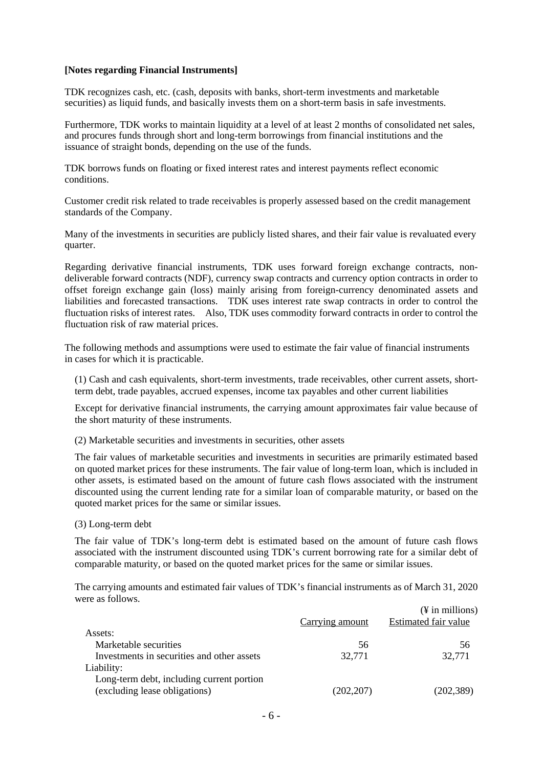#### **[Notes regarding Financial Instruments]**

TDK recognizes cash, etc. (cash, deposits with banks, short-term investments and marketable securities) as liquid funds, and basically invests them on a short-term basis in safe investments.

Furthermore, TDK works to maintain liquidity at a level of at least 2 months of consolidated net sales, and procures funds through short and long-term borrowings from financial institutions and the issuance of straight bonds, depending on the use of the funds.

TDK borrows funds on floating or fixed interest rates and interest payments reflect economic conditions.

Customer credit risk related to trade receivables is properly assessed based on the credit management standards of the Company.

Many of the investments in securities are publicly listed shares, and their fair value is revaluated every quarter.

Regarding derivative financial instruments, TDK uses forward foreign exchange contracts, nondeliverable forward contracts (NDF), currency swap contracts and currency option contracts in order to offset foreign exchange gain (loss) mainly arising from foreign-currency denominated assets and liabilities and forecasted transactions. TDK uses interest rate swap contracts in order to control the fluctuation risks of interest rates. Also, TDK uses commodity forward contracts in order to control the fluctuation risk of raw material prices.

The following methods and assumptions were used to estimate the fair value of financial instruments in cases for which it is practicable.

(1) Cash and cash equivalents, short-term investments, trade receivables, other current assets, shortterm debt, trade payables, accrued expenses, income tax payables and other current liabilities

Except for derivative financial instruments, the carrying amount approximates fair value because of the short maturity of these instruments.

(2) Marketable securities and investments in securities, other assets

The fair values of marketable securities and investments in securities are primarily estimated based on quoted market prices for these instruments. The fair value of long-term loan, which is included in other assets, is estimated based on the amount of future cash flows associated with the instrument discounted using the current lending rate for a similar loan of comparable maturity, or based on the quoted market prices for the same or similar issues.

#### (3) Long-term debt

The fair value of TDK's long-term debt is estimated based on the amount of future cash flows associated with the instrument discounted using TDK's current borrowing rate for a similar debt of comparable maturity, or based on the quoted market prices for the same or similar issues.

The carrying amounts and estimated fair values of TDK's financial instruments as of March 31, 2020 were as follows.

|                                            |                 | $(\frac{1}{2}$ in millions) |
|--------------------------------------------|-----------------|-----------------------------|
|                                            | Carrying amount | Estimated fair value        |
| Assets:                                    |                 |                             |
| Marketable securities                      | 56              | 56                          |
| Investments in securities and other assets | 32,771          | 32,771                      |
| Liability:                                 |                 |                             |
| Long-term debt, including current portion  |                 |                             |
| (excluding lease obligations)              | (202, 207)      | (202, 389)                  |
|                                            |                 |                             |